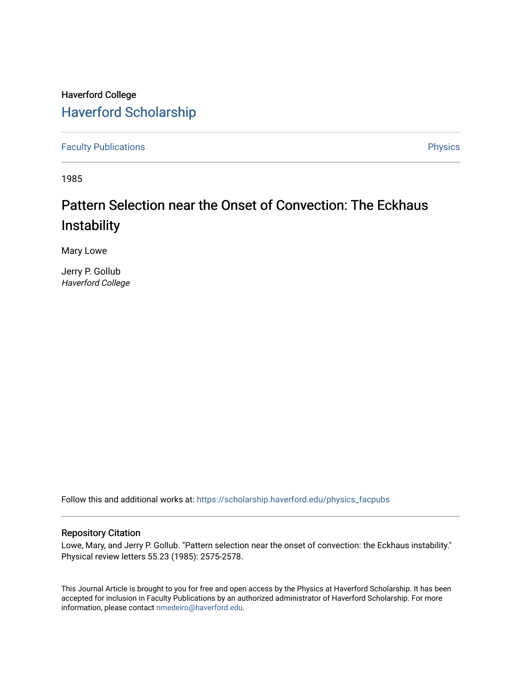## Haverford College [Haverford Scholarship](https://scholarship.haverford.edu/)

[Faculty Publications](https://scholarship.haverford.edu/physics_facpubs) **Physics** 

1985

## Pattern Selection near the Onset of Convection: The Eckhaus **Instability**

Mary Lowe

Jerry P. Gollub Haverford College

Follow this and additional works at: [https://scholarship.haverford.edu/physics\\_facpubs](https://scholarship.haverford.edu/physics_facpubs?utm_source=scholarship.haverford.edu%2Fphysics_facpubs%2F260&utm_medium=PDF&utm_campaign=PDFCoverPages) 

## Repository Citation

Lowe, Mary, and Jerry P. Gollub. "Pattern selection near the onset of convection: the Eckhaus instability." Physical review letters 55.23 (1985): 2575-2578.

This Journal Article is brought to you for free and open access by the Physics at Haverford Scholarship. It has been accepted for inclusion in Faculty Publications by an authorized administrator of Haverford Scholarship. For more information, please contact [nmedeiro@haverford.edu.](mailto:nmedeiro@haverford.edu)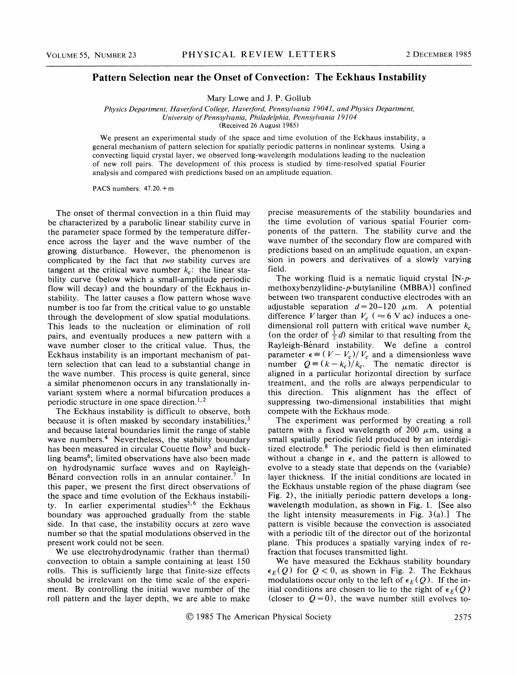## Pattern Selection near the Onset of Convection: The Eckhaus Instability

Mary Lowe and J. P. Gollub

Physics Department, Haverford College, Haverford, Pennsylvania 19041, and Physics Department, University of Pennsylvania, Philadelphia, Pennsylvania 19104 (Received 26 August 1985)

We present an experimental study of the space and time evolution of the Eckhaus instability, a general mechanism of pattern selection for spatially periodic patterns in nonlinear systems. Using a convecting liquid crystal layer, we observed long-wavelength modulations leading to the nucleation of new roll pairs. The development of this process is studied by time-resolved spatial Fourier analysis and compared with predictions based on an amplitude equation.

PACS numbers: 47.20.+m

The onset of thermal convection in a thin fluid may be characterized by a parabolic linear stability curve in the parameter space formed by the temperature difference across the layer and the wave number of the growing disturbance. However, the phenomenon is complicated by the fact that two stability curves are tangent at the critical wave number  $k_c$ ; the linear stability curve (below which a small-amplitude periodic flow will decay) and the boundary of the Eckhaus instability. The latter causes a flow pattern whose wave number is too far from the critical value to go unstable through the development of slow spatial modulations. This leads to the nucleation or elimination of roll pairs, and eventually produces a new pattern with a wave number closer to the critical value. Thus, the Eckhaus instability is an important mechanism of pattern selection that can lead to a substantial change in the wave number. This process is quite general, since a similar phenomenon occurs in any translationally invariant system where a normal bifurcation produces a 'periodic structure in one space direction.<sup>1,1</sup>

The Eckhaus instability is difficult to observe, both because it is often masked by secondary instabilities, $3$ and because lateral boundaries limit the range of stable wave numbers.<sup>4</sup> Nevertheless, the stability boundary has been measured in circular Couette flow<sup>5</sup> and buckling beams<sup>6</sup>; limited observations have also been made on hydrodynamic surface waves and on Rayleigh-Bénard convection rolls in an annular container.<sup>7</sup> In this paper, we present the first direct observations of the space and time evolution of the Eckhaus instability. In earlier experimental studies<sup>5,6</sup> the Eckhaus boundary was approached gradually from the stable side. In that case, the instability occurs at zero wave number so that the spatial modulations observed in the present work could not be seen.

We use electrohydrodynamic (rather than thermal) convection to obtain a sample containing at least 150 rolls. This is sufficiently large that finite-size effects should be irrelevant on the time scale of the experiment. By controlling the initial wave number of the roll pattern and the layer depth, we are able to make

precise measurements of the stability boundaries and the time evolution of various spatial Fourier components of the pattern. The stability curve and the wave number of the secondary flow are compared with predictions based on an amplitude equation, an expansion in powers and derivatives of a slowly varying field.

The working fluid is a nematic liquid crystal  $[N-p$ methoxybenzylidine- $p$ -butylaniline (MBBA)] confined between two transparent conductive electrodes with an adjustable separation  $d = 20-120$   $\mu$ m. A potential difference V larger than  $V_c$  ( $\approx$  6 V ac) induces a onelimensional roll pattern with critical wave number  $k_c$ on the order of  $\frac{1}{2}d$ ) similar to that resulting from the Rayleigh-Bénard instability. We define a control parameter  $\epsilon = (V - V_c)/V_c$  and a dimensionless wave number  $Q = (k - k_c)/k_c$ . The nematic director is aligned in a particular horizontal direction by surface treatment, and the rolls are always perpendicular to this direction. This alignment has the effect of suppressing two-dimensional instabilities that might compete with the Eckhaus mode.

The experiment was performed by creating a roll pattern with a fixed wavelength of 200  $\mu$ m, using a small spatially periodic field produced by an interdigitized electrode. $8$  The periodic field is then eliminated without a change in  $\epsilon$ , and the pattern is allowed to evolve to a steady state that depends on the (variable) layer thickness. If the initial conditions are located in the Eckhaus unstable region of the phase diagram (see Fig. 2), the initially periodic pattern develops a longwavelength modulation, as shown in Fig. 1. [See also the light intensity measurements in Fig.  $3(a)$ . The pattern is visible because the convection is associated with a periodic tilt of the director out of the horizontal plane. This produces a spatially varying index of refraction that focuses transmitted light.

We have measured the Eckhaus stability boundary  $E_E(Q)$  for  $Q < 0$ , as shown in Fig. 2. The Eckhaus modulations occur only to the left of  $\epsilon_E(Q)$ . If the initial conditions are chosen to lie to the right of  $\epsilon_F(Q)$ (closer to  $Q=0$ ), the wave number still evolves to-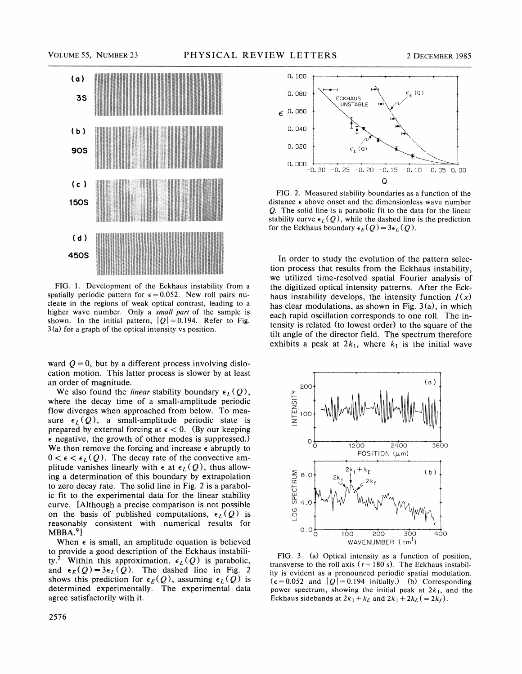

FIG. 1. Development of the Eckhaus instability from a spatially periodic pattern for  $\epsilon = 0.052$ . New roll pairs nucleate in the regions of weak optical contrast, leading to a higher wave number. Only a *small part* of the sample is shown. In the initial pattern,  $|Q|=0.194$ . Refer to Fig. 3(a) for a graph of the optical intensity vs position.

ward  $Q = 0$ , but by a different process involving dislocation motion. This latter process is slower by at least an order of magnitude.

We also found the *linear* stability boundary  $\epsilon_L(Q)$ , where the decay time of a small-amplitude periodic flow diverges when approached from below. To measure  $\epsilon_L(Q)$ , a small-amplitude periodic state is prepared by external forcing at  $\epsilon < 0$ . (By our keeping  $\epsilon$  negative, the growth of other modes is suppressed.) We then remove the forcing and increase  $\epsilon$  abruptly to  $0 < \epsilon < \epsilon_L(Q)$ . The decay rate of the convective amplitude vanishes linearly with  $\epsilon$  at  $\epsilon_L(Q)$ , thus allowing a determination of this boundary by extrapolation to zero decay rate. The solid line in Fig. 2 is a parabolic fit to the experimental data for the linear stability curve. [Although a precise comparison is not possible on the basis of published computations,  $\epsilon_L(Q)$  is reasonably consistent with numerical results for  $MBBA.<sup>9</sup>$ 

When  $\epsilon$  is small, an amplitude equation is believed to provide a good description of the Eckhaus instability.<sup>2</sup> Within this approximation,  $\epsilon_L(Q)$  is parabolic, and  $\epsilon_E(Q) = 3\epsilon_L(Q)$ . The dashed line in Fig. 2 shows this prediction for  $\epsilon_E(Q)$ , assuming  $\epsilon_L(Q)$  is determined experimentally. The experimental data agree satisfactorily with it.



FIG. 2. Measured stability boundaries as a function of the distance  $\epsilon$  above onset and the dimensionless wave number Q. The solid line is a parabolic fit to the data for the linear stability curve  $\epsilon_L(Q)$ , while the dashed line is the prediction for the Eckhaus boundary  $\epsilon_E(Q) = 3\epsilon_L(Q)$ .

In order to study the evolution of the pattern selection process that results from the Eckhaus instability, we utilized time-resolved spatial Fourier analysis of the digitized optical intensity patterns. After the Eckhaus instability develops, the intensity function  $I(x)$ has clear modulations, as shown in Fig.  $3(a)$ , in which each rapid oscillation corresponds to one roll. The intensity is related (to lowest order) to the square of the tilt angle of the director field. The spectrum therefore exhibits a peak at  $2k_1$ , where  $k_1$  is the initial wave



FIG. 3. (a) Optical intensity as a function of position, transverse to the roll axis ( $t = 180$  s). The Eckhaus instability is evident as a pronounced periodic spatial modulation.  $(\epsilon = 0.052$  and  $|Q| = 0.194$  initially.) (b) Corresponding power spectrum, showing the initial peak at  $2k_1$ , and the Eckhaus sidebands at  $2k_1 + k_E$  and  $2k_1 + 2k_E$  (= 2 $k_f$ ).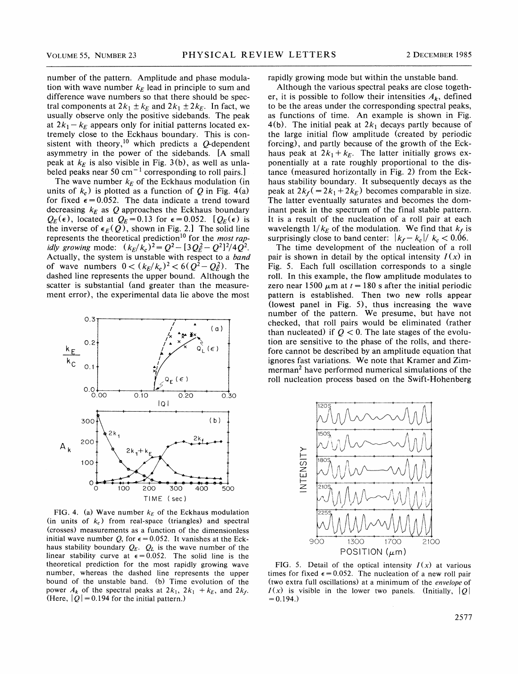number of the pattern. Amplitude and phase modulation with wave number  $k_E$  lead in principle to sum and difference wave numbers so that there should be spectral components at  $2k_1 \pm k_E$  and  $2k_1 \pm 2k_E$ . In fact, we usually observe only the positive sidebands. The peak at  $2k_1 - k_E$  appears only for initial patterns located extremely close to the Eckhaus boundary. This is consistent with theory, $10$  which predicts a  $Q$ -dependent asymmetry in the power of the sidebands. [A small peak at  $k_E$  is also visible in Fig. 3(b), as well as unlabeled peaks near 50 cm<sup> $-1$ </sup> corresponding to roll pairs.]

The wave number  $k_E$  of the Eckhaus modulation (in units of  $k_c$ ) is plotted as a function of Q in Fig. 4(a) for fixed  $\epsilon = 0.052$ . The data indicate a trend toward decreasing  $k_E$  as Q approaches the Eckhaus boundary  $Q_E(\epsilon)$ , located at  $Q_E=0.13$  for  $\epsilon=0.052$ .  $[Q_E(\epsilon)]$  is the inverse of  $\epsilon_E(Q)$ , shown in Fig. 2.] The solid line represents the theoretical prediction<sup>10</sup> for the *most rap* idly growing mode:  $(k_E/k_c)^2 = Q^2 - [3Q_E^2 - Q^2]^2/4Q^2$ . Actually, the system is unstable with respect to a band of wave numbers  $0 < (k_E/k_c)^2 < 6(Q^2 - Q_E^2)$ . The dashed line represents the upper bound. Although the scatter is substantial (and greater than the measurement error), the experimental data lie above the most



FIG. 4. (a) Wave number  $k_E$  of the Eckhaus modulation (in units of  $k_c$ ) from real-space (triangles) and spectral (crosses) measurements as a function of the dimensionless initial wave number Q, for  $\epsilon = 0.052$ . It vanishes at the Eckhaus stability boundary  $Q_E$ .  $Q_L$  is the wave number of the linear stability curve at  $\epsilon = 0.052$ . The solid line is the theoretical prediction for the most rapidly growing wave number, whereas the dashed line represents the upper bound of the unstable band. (b) Time evolution of the power  $A_k$  of the spectral peaks at  $2k_1$ ,  $2k_1 + k_E$ , and  $2k_f$ . (Here,  $|Q|$  = 0.194 for the initial pattern.)

rapidly growing mode but within the unstable band.

Although the various spectral peaks are close together, it is possible to follow their intensities  $A_k$ , defined to be the areas under the corresponding spectral peaks, as functions of time. An example is shown in Fig. 4(b). The initial peak at  $2k_1$  decays partly because of the large initial flow amplitude (created by periodic forcing), and partly because of the growth of the Eckhaus peak at  $2k_1+k_2$ . The latter initially grows exponentially at a rate roughly proportional to the distance (measured horizontally in Fig. 2) from the Eckhaus stability boundary. It subsequently decays as the peak at  $2k_f$ (=2k<sub>1</sub>+2k<sub>E</sub>) becomes comparable in size. The latter eventually saturates and becomes the dominant peak in the spectrum of the final stable pattern. It is a result of the nucleation of a roll pair at each wavelength  $1/k_E$  of the modulation. We find that  $k_f$  is surprisingly close to band center:  $|k_f - k_c| / k_c < 0.06$ .

The time development of the nucleation of a roll pair is shown in detail by the optical intensity  $I(x)$  in Fig. 5. Each full oscillation corresponds to a single roll. In this example, the flow amplitude modulates to zero near 1500  $\mu$ m at  $t = 180$  s after the initial periodic pattern is established. Then two new rolls appear (lowest panel in Fig. 5), thus increasing the wave number of the pattern. We presume, but have not checked, that roll pairs would be eliminated (rather than nucleated) if  $Q < 0$ . The late stages of the evolution are sensitive to the phase of the rolls, and therefore cannot be described by an amplitude equation that ignores fast variations. We note that Kramer and Zimmerman<sup>2</sup> have performed numerical simulations of the roll nucleation process based on the Swift-Hohenberg



FIG. 5. Detail of the optical intensity  $I(x)$  at various times for fixed  $\epsilon = 0.052$ . The nucleation of a new roll pair (two extra full oscillations) at a minimum of the envelope of  $I(x)$  is visible in the lower two panels. (Initially,  $|Q|$  $= 0.194.$ )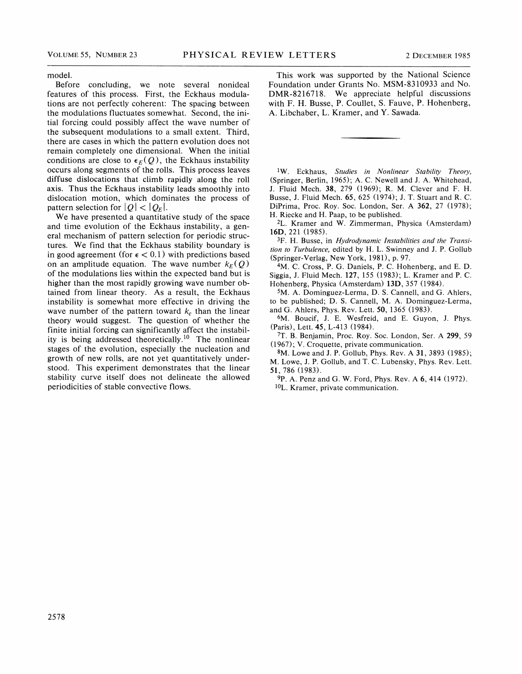model.

Before concluding, we note several nonideal features of this process. First, the Eckhaus modulations are not perfectly coherent: The spacing between the modulations fluctuates somewhat. Second, the initial forcing could possibly affect the wave number of the subsequent modulations to a small extent. Third, there are cases in which the pattern evolution does not remain completely one dimensional. When the initial conditions are close to  $\epsilon_E(Q)$ , the Eckhaus instability occurs along segments of the rolls. This process leaves diffuse dislocations that climb rapidly along the roll axis. Thus the Eckhaus instability leads smoothly into dislocation motion, which dominates the process of pattern selection for  $|Q| < |Q_F|$ .

We have presented a quantitative study of the space and time evolution of the Eckhaus instability, a general mechanism of pattern selection for periodic structures. We find that the Eckhaus stability boundary is in good agreement (for  $\epsilon$  < 0.1) with predictions based on an amplitude equation. The wave number  $k_E(Q)$ of the modulations lies within the expected band but is higher than the most rapidly growing wave number obtained from linear theory. As a result, the Eckhaus instability is somewhat more effective in driving the wave number of the pattern toward  $k_c$  than the linear theory would suggest. The question of whether the finite initial forcing can significantly affect the instability is being addressed theoretically.<sup>10</sup> The nonlinear stages of the evolution, especially the nucleation and growth of new rolls, are not yet quantitatively understood. This experiment demonstrates that the linear stability curve itself does not delineate the allowed periodicities of stable convective flows.

This work was supported by the National Science Foundation under Grants No. MSM-8310933 and No. DMR-8216718. We appreciate helpful discussions with F. H. Busse, P. Coullet, S. Fauve, P. Hohenberg, A. Libchaber, L. Kramer, and Y. Sawada.

 $\frac{1}{W}$ . Eckhaus, Studies in Nonlinear Stability Theory, (Springer, Berlin, 1965); A. C. Newell and J. A. Whitehead, J. Fluid Mech. 38, 279 (1969); R. M. Clever and F. H. Busse, J. Fluid Mech. 65, 625 (1974); J. T. Stuart and R. C. DiPrima, Proc. Roy. Soc. London, Ser. A 362, 27 (1978); H. Riecke and H. Paap, to be published.

2L. Kramer and W. Zimmerman, Physica (Amsterdam) 16D, 221 (1985).

3F. H. Busse, in Hydrodynamic Instabilities and the Transition to Turbulence, edited by H. L. Swinney and J. P. Gollub (Springer-Verlag, New York, 1981), p. 97.

4M. C. Cross, P. G. Daniels, P. C. Hohenberg, and E. D. Siggia, J. Fluid Mech. 127, 155 (1983); L. Kramer and P. C. Hohenberg, Physica (Amsterdam) 13D, 357 (1984).

5M. A. Dominguez-Lerma, D. S. Cannell, and G. Ahlers, to be published; D. S. Cannell, M. A, Dominguez-Lerma, and G. Ahlers, Phys. Rev. Lett. 50, 1365 (1983).

6M. Boucif, J. E. Wesfreid, and E. Guyon, J. Phys. (Paris), Lett. 45, L-413 (1984).

7T. B. Benjamin, Proc. Roy. Soc. London, Ser. A 299, 59 (1967);V. Croquette, private communication.

sM. Lowe and J. P. Gollub, Phys. Rev. A 31, 3893 (1985); M. Lowe, J. P. Gollub, and T. C. Lubensky, Phys. Rev. Lett. 51, 786 (1983).

9P. A. Penz and G. W. Ford, Phys. Rev. A 6, 414 (1972).  $10L$ . Kramer, private communication.